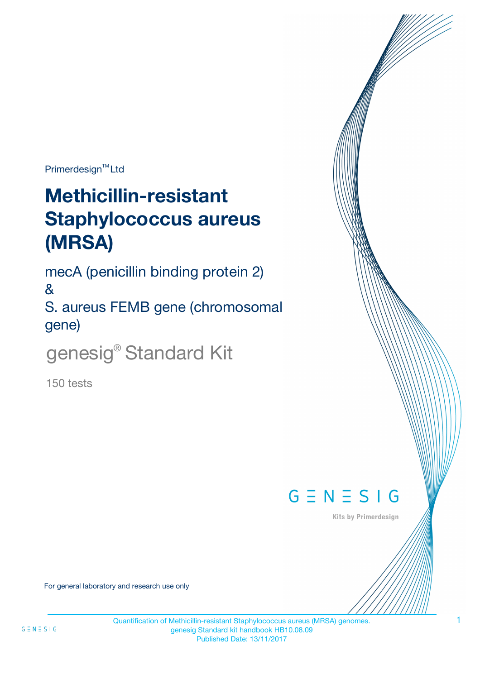Primerdesign<sup>™</sup>Ltd

# **Methicillin-resistant Staphylococcus aureus (MRSA)**

mecA (penicillin binding protein 2)

&

S. aureus FEMB gene (chromosomal gene)

genesig<sup>®</sup> Standard Kit

150 tests



**Kits by Primerdesign** 

For general laboratory and research use only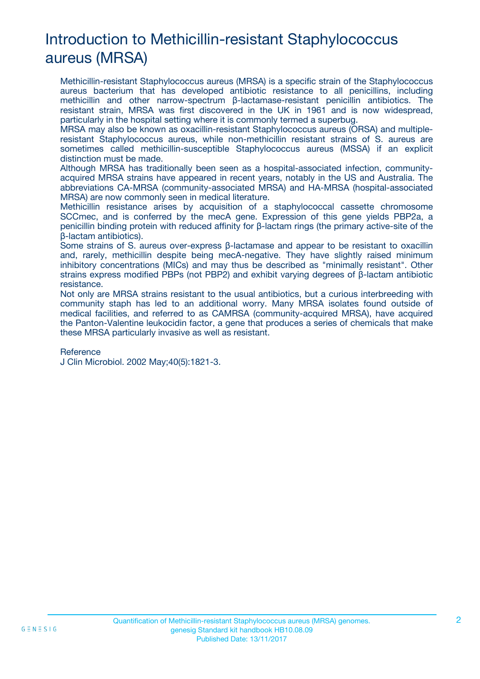# Introduction to Methicillin-resistant Staphylococcus aureus (MRSA)

Methicillin-resistant Staphylococcus aureus (MRSA) is a specific strain of the Staphylococcus aureus bacterium that has developed antibiotic resistance to all penicillins, including methicillin and other narrow-spectrum β-lactamase-resistant penicillin antibiotics. The resistant strain, MRSA was first discovered in the UK in 1961 and is now widespread, particularly in the hospital setting where it is commonly termed a superbug.

MRSA may also be known as oxacillin-resistant Staphylococcus aureus (ORSA) and multipleresistant Staphylococcus aureus, while non-methicillin resistant strains of S. aureus are sometimes called methicillin-susceptible Staphylococcus aureus (MSSA) if an explicit distinction must be made.

Although MRSA has traditionally been seen as a hospital-associated infection, communityacquired MRSA strains have appeared in recent years, notably in the US and Australia. The abbreviations CA-MRSA (community-associated MRSA) and HA-MRSA (hospital-associated MRSA) are now commonly seen in medical literature.

Methicillin resistance arises by acquisition of a staphylococcal cassette chromosome SCCmec, and is conferred by the mecA gene. Expression of this gene yields PBP2a, a penicillin binding protein with reduced affinity for β-lactam rings (the primary active-site of the β-lactam antibiotics).

Some strains of S. aureus over-express β-lactamase and appear to be resistant to oxacillin and, rarely, methicillin despite being mecA-negative. They have slightly raised minimum inhibitory concentrations (MICs) and may thus be described as "minimally resistant". Other strains express modified PBPs (not PBP2) and exhibit varying degrees of β-lactam antibiotic resistance.

Not only are MRSA strains resistant to the usual antibiotics, but a curious interbreeding with community staph has led to an additional worry. Many MRSA isolates found outside of medical facilities, and referred to as CAMRSA (community-acquired MRSA), have acquired the Panton-Valentine leukocidin factor, a gene that produces a series of chemicals that make these MRSA particularly invasive as well as resistant.

#### Reference

J Clin Microbiol. 2002 May;40(5):1821-3.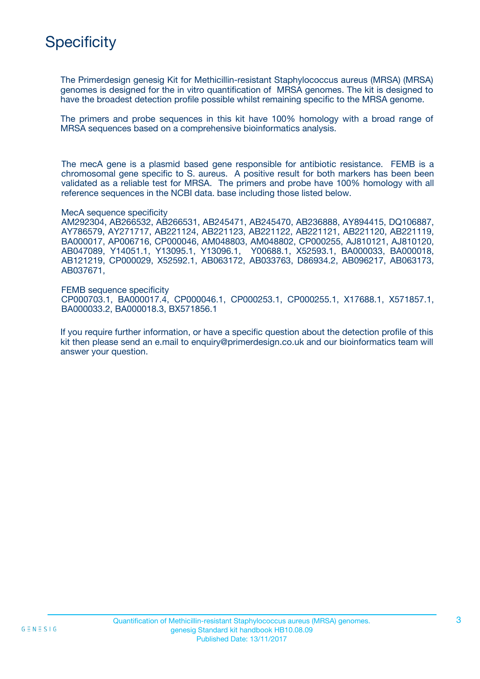## **Specificity**

The Primerdesign genesig Kit for Methicillin-resistant Staphylococcus aureus (MRSA) (MRSA) genomes is designed for the in vitro quantification of MRSA genomes. The kit is designed to have the broadest detection profile possible whilst remaining specific to the MRSA genome.

The primers and probe sequences in this kit have 100% homology with a broad range of MRSA sequences based on a comprehensive bioinformatics analysis.

The mecA gene is a plasmid based gene responsible for antibiotic resistance. FEMB is a chromosomal gene specific to S. aureus. A positive result for both markers has been been validated as a reliable test for MRSA. The primers and probe have 100% homology with all reference sequences in the NCBI data. base including those listed below.

MecA sequence specificity

AM292304, AB266532, AB266531, AB245471, AB245470, AB236888, AY894415, DQ106887, AY786579, AY271717, AB221124, AB221123, AB221122, AB221121, AB221120, AB221119, BA000017, AP006716, CP000046, AM048803, AM048802, CP000255, AJ810121, AJ810120, AB047089, Y14051.1, Y13095.1, Y13096.1, Y00688.1, X52593.1, BA000033, BA000018, AB121219, CP000029, X52592.1, AB063172, AB033763, D86934.2, AB096217, AB063173, AB037671,

FEMB sequence specificity CP000703.1, BA000017.4, CP000046.1, CP000253.1, CP000255.1, X17688.1, X571857.1, BA000033.2, BA000018.3, BX571856.1

If you require further information, or have a specific question about the detection profile of this kit then please send an e.mail to enquiry@primerdesign.co.uk and our bioinformatics team will answer your question.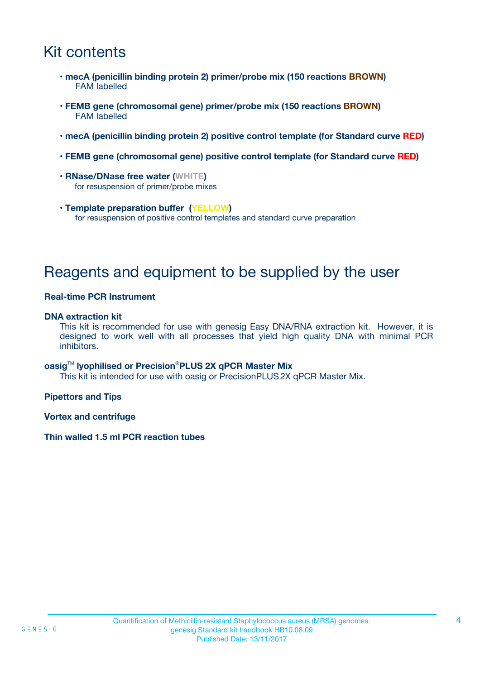## Kit contents

- **mecA (penicillin binding protein 2) primer/probe mix (150 reactions BROWN)** FAM labelled
- **FEMB gene (chromosomal gene) primer/probe mix (150 reactions BROWN)** FAM labelled
- **mecA (penicillin binding protein 2) positive control template (for Standard curve RED)**
- **FEMB gene (chromosomal gene) positive control template (for Standard curve RED)**
- **RNase/DNase free water (WHITE)** for resuspension of primer/probe mixes
- **Template preparation buffer (YELLOW)** for resuspension of positive control templates and standard curve preparation

### Reagents and equipment to be supplied by the user

#### **Real-time PCR Instrument**

#### **DNA extraction kit**

This kit is recommended for use with genesig Easy DNA/RNA extraction kit. However, it is designed to work well with all processes that yield high quality DNA with minimal PCR inhibitors.

#### **oasig**TM **lyophilised or Precision**®**PLUS 2X qPCR Master Mix**

This kit is intended for use with oasig or PrecisionPLUS2X qPCR Master Mix.

**Pipettors and Tips**

**Vortex and centrifuge**

#### **Thin walled 1.5 ml PCR reaction tubes**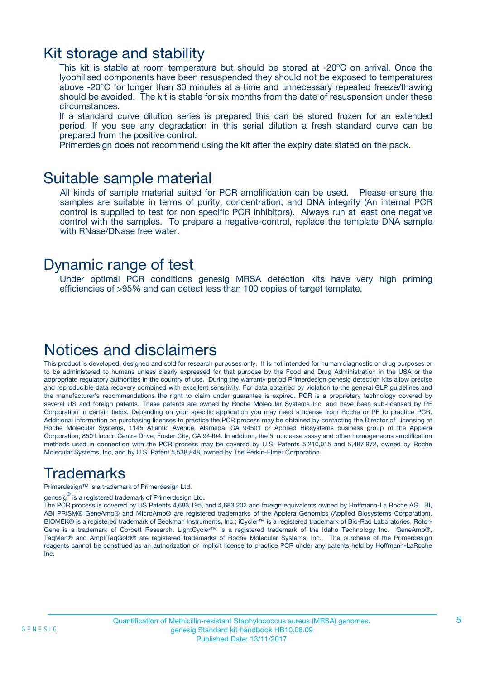### Kit storage and stability

This kit is stable at room temperature but should be stored at -20ºC on arrival. Once the lyophilised components have been resuspended they should not be exposed to temperatures above -20°C for longer than 30 minutes at a time and unnecessary repeated freeze/thawing should be avoided. The kit is stable for six months from the date of resuspension under these circumstances.

If a standard curve dilution series is prepared this can be stored frozen for an extended period. If you see any degradation in this serial dilution a fresh standard curve can be prepared from the positive control.

Primerdesign does not recommend using the kit after the expiry date stated on the pack.

### Suitable sample material

All kinds of sample material suited for PCR amplification can be used. Please ensure the samples are suitable in terms of purity, concentration, and DNA integrity (An internal PCR control is supplied to test for non specific PCR inhibitors). Always run at least one negative control with the samples. To prepare a negative-control, replace the template DNA sample with RNase/DNase free water.

### Dynamic range of test

Under optimal PCR conditions genesig MRSA detection kits have very high priming efficiencies of >95% and can detect less than 100 copies of target template.

### Notices and disclaimers

This product is developed, designed and sold for research purposes only. It is not intended for human diagnostic or drug purposes or to be administered to humans unless clearly expressed for that purpose by the Food and Drug Administration in the USA or the appropriate regulatory authorities in the country of use. During the warranty period Primerdesign genesig detection kits allow precise and reproducible data recovery combined with excellent sensitivity. For data obtained by violation to the general GLP guidelines and the manufacturer's recommendations the right to claim under guarantee is expired. PCR is a proprietary technology covered by several US and foreign patents. These patents are owned by Roche Molecular Systems Inc. and have been sub-licensed by PE Corporation in certain fields. Depending on your specific application you may need a license from Roche or PE to practice PCR. Additional information on purchasing licenses to practice the PCR process may be obtained by contacting the Director of Licensing at Roche Molecular Systems, 1145 Atlantic Avenue, Alameda, CA 94501 or Applied Biosystems business group of the Applera Corporation, 850 Lincoln Centre Drive, Foster City, CA 94404. In addition, the 5' nuclease assay and other homogeneous amplification methods used in connection with the PCR process may be covered by U.S. Patents 5,210,015 and 5,487,972, owned by Roche Molecular Systems, Inc, and by U.S. Patent 5,538,848, owned by The Perkin-Elmer Corporation.

### **Trademarks**

Primerdesign™ is a trademark of Primerdesign Ltd.

genesig $^\circledR$  is a registered trademark of Primerdesign Ltd.

The PCR process is covered by US Patents 4,683,195, and 4,683,202 and foreign equivalents owned by Hoffmann-La Roche AG. BI, ABI PRISM® GeneAmp® and MicroAmp® are registered trademarks of the Applera Genomics (Applied Biosystems Corporation). BIOMEK® is a registered trademark of Beckman Instruments, Inc.; iCycler™ is a registered trademark of Bio-Rad Laboratories, Rotor-Gene is a trademark of Corbett Research. LightCycler™ is a registered trademark of the Idaho Technology Inc. GeneAmp®, TaqMan® and AmpliTaqGold® are registered trademarks of Roche Molecular Systems, Inc., The purchase of the Primerdesign reagents cannot be construed as an authorization or implicit license to practice PCR under any patents held by Hoffmann-LaRoche Inc.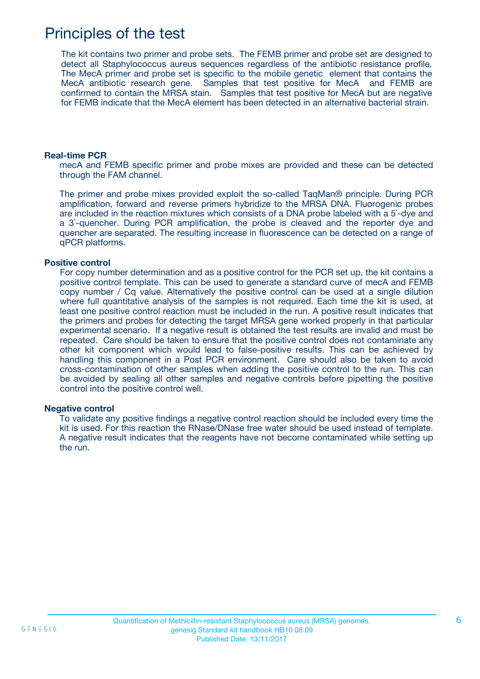### Principles of the test

The kit contains two primer and probe sets. The FEMB primer and probe set are designed to detect all Staphylococcus aureus sequences regardless of the antibiotic resistance profile. The MecA primer and probe set is specific to the mobile genetic element that contains the MecA antibiotic research gene. Samples that test positive for MecA and FEMB are confirmed to contain the MRSA stain. Samples that test positive for MecA but are negative for FEMB indicate that the MecA element has been detected in an alternative bacterial strain.

#### **Real-time PCR**

mecA and FEMB specific primer and probe mixes are provided and these can be detected through the FAM channel.

The primer and probe mixes provided exploit the so-called TaqMan® principle. During PCR amplification, forward and reverse primers hybridize to the MRSA DNA. Fluorogenic probes are included in the reaction mixtures which consists of a DNA probe labeled with a 5`-dye and a 3`-quencher. During PCR amplification, the probe is cleaved and the reporter dye and quencher are separated. The resulting increase in fluorescence can be detected on a range of qPCR platforms.

#### **Positive control**

For copy number determination and as a positive control for the PCR set up, the kit contains a positive control template. This can be used to generate a standard curve of mecA and FEMB copy number / Cq value. Alternatively the positive control can be used at a single dilution where full quantitative analysis of the samples is not required. Each time the kit is used, at least one positive control reaction must be included in the run. A positive result indicates that the primers and probes for detecting the target MRSA gene worked properly in that particular experimental scenario. If a negative result is obtained the test results are invalid and must be repeated. Care should be taken to ensure that the positive control does not contaminate any other kit component which would lead to false-positive results. This can be achieved by handling this component in a Post PCR environment. Care should also be taken to avoid cross-contamination of other samples when adding the positive control to the run. This can be avoided by sealing all other samples and negative controls before pipetting the positive control into the positive control well.

#### **Negative control**

To validate any positive findings a negative control reaction should be included every time the kit is used. For this reaction the RNase/DNase free water should be used instead of template. A negative result indicates that the reagents have not become contaminated while setting up the run.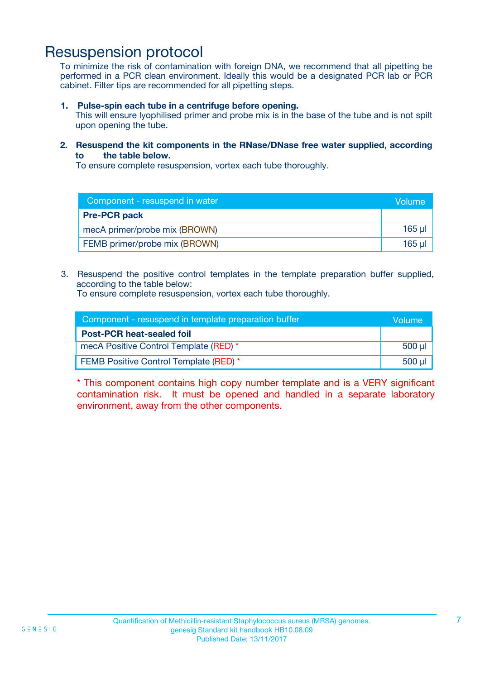### Resuspension protocol

To minimize the risk of contamination with foreign DNA, we recommend that all pipetting be performed in a PCR clean environment. Ideally this would be a designated PCR lab or PCR cabinet. Filter tips are recommended for all pipetting steps.

**1. Pulse-spin each tube in a centrifuge before opening.**

This will ensure lyophilised primer and probe mix is in the base of the tube and is not spilt upon opening the tube.

**2. Resuspend the kit components in the RNase/DNase free water supplied, according to the table below.**

To ensure complete resuspension, vortex each tube thoroughly.

| Component - resuspend in water | Volume   |
|--------------------------------|----------|
| <b>Pre-PCR pack</b>            |          |
| mecA primer/probe mix (BROWN)  | $165$ µ  |
| FEMB primer/probe mix (BROWN)  | $165$ µl |

3. Resuspend the positive control templates in the template preparation buffer supplied, according to the table below:

To ensure complete resuspension, vortex each tube thoroughly.

| Component - resuspend in template preparation buffer |             |
|------------------------------------------------------|-------------|
| <b>Post-PCR heat-sealed foil</b>                     |             |
| mecA Positive Control Template (RED) *               | $500$ $\mu$ |
| FEMB Positive Control Template (RED) *               | 500 µl      |

\* This component contains high copy number template and is a VERY significant contamination risk. It must be opened and handled in a separate laboratory environment, away from the other components.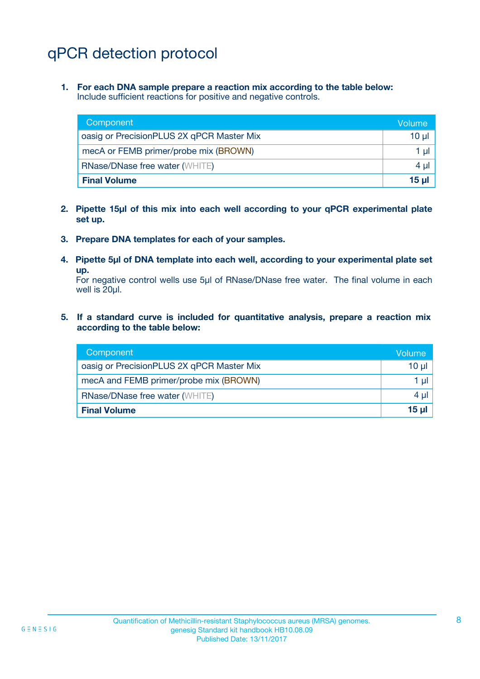# qPCR detection protocol

**1. For each DNA sample prepare a reaction mix according to the table below:** Include sufficient reactions for positive and negative controls.

| Component                                 | Volume   |
|-------------------------------------------|----------|
| oasig or PrecisionPLUS 2X qPCR Master Mix | $10 \mu$ |
| mecA or FEMB primer/probe mix (BROWN)     | 1 µl I   |
| <b>RNase/DNase free water (WHITE)</b>     | 4 µl     |
| <b>Final Volume</b>                       | $15 \mu$ |

- **2. Pipette 15µl of this mix into each well according to your qPCR experimental plate set up.**
- **3. Prepare DNA templates for each of your samples.**
- **4. Pipette 5µl of DNA template into each well, according to your experimental plate set up.**

For negative control wells use 5µl of RNase/DNase free water. The final volume in each well is 20ul.

**5. If a standard curve is included for quantitative analysis, prepare a reaction mix according to the table below:**

| Component                                 | Volume   |
|-------------------------------------------|----------|
| oasig or PrecisionPLUS 2X qPCR Master Mix | $10 \mu$ |
| mecA and FEMB primer/probe mix (BROWN)    | 1 µl     |
| <b>RNase/DNase free water (WHITE)</b>     | $4 \mu$  |
| <b>Final Volume</b>                       | $15 \mu$ |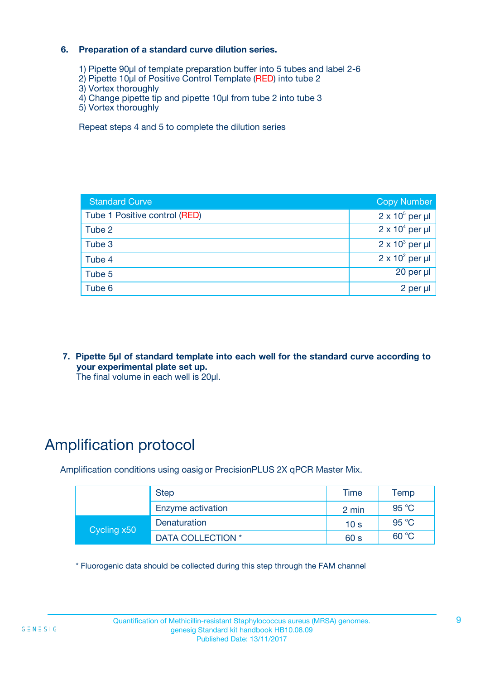#### **6. Preparation of a standard curve dilution series.**

- 1) Pipette 90µl of template preparation buffer into 5 tubes and label 2-6
- 2) Pipette 10µl of Positive Control Template (RED) into tube 2
- 3) Vortex thoroughly
- 4) Change pipette tip and pipette 10µl from tube 2 into tube 3
- 5) Vortex thoroughly

Repeat steps 4 and 5 to complete the dilution series

| <b>Standard Curve</b>         | <b>Copy Number</b>     |
|-------------------------------|------------------------|
| Tube 1 Positive control (RED) | $2 \times 10^5$ per µl |
| Tube 2                        | $2 \times 10^4$ per µl |
| Tube 3                        | $2 \times 10^3$ per µl |
| Tube 4                        | $2 \times 10^2$ per µl |
| Tube 5                        | $20$ per $\mu$         |
| Tube 6                        | 2 per µl               |

**7. Pipette 5µl of standard template into each well for the standard curve according to your experimental plate set up.**

The final volume in each well is 20µl.

# Amplification protocol

Amplification conditions using oasig or PrecisionPLUS 2X qPCR Master Mix.

| <b>Step</b> |                   | Time            | Temp           |
|-------------|-------------------|-----------------|----------------|
|             | Enzyme activation | 2 min           | 95 $°C$        |
| Cycling x50 | Denaturation      | 10 <sub>s</sub> | 95 °C          |
|             | DATA COLLECTION * | 60 s            | $60^{\circ}$ C |

\* Fluorogenic data should be collected during this step through the FAM channel